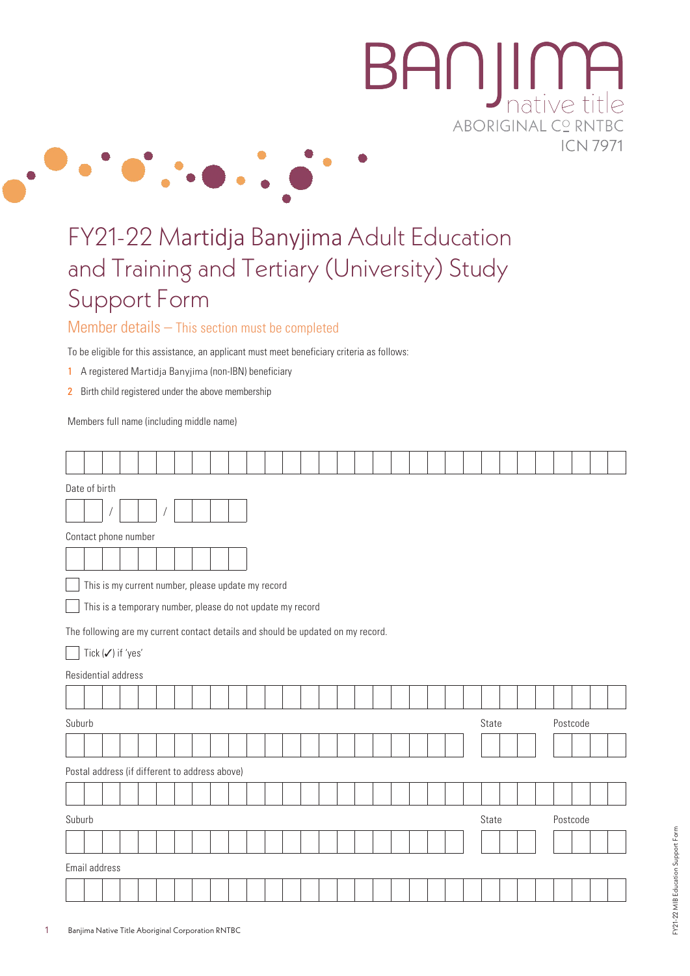# BANJI **II**<br>native **ABORIGINAL CO RNT ICN 7971**

## FY21-22 Martidja Banyjima Adult Education and Training and Tertiary (University) Study Support Form

#### Member details – This section must be completed

To be eligible for this assistance, an applicant must meet beneficiary criteria as follows:

 $\cdot \bullet \cdot$ 

- 1 A registered Martidja Banyjima (non-IBN) beneficiary
- 2 Birth child registered under the above membership

Members full name (including middle name)

|                                                            | Date of birth                                                                    |  |  |  |                |  |  |  |       |  |  |          |          |  |  |  |  |  |  |  |  |  |  |  |
|------------------------------------------------------------|----------------------------------------------------------------------------------|--|--|--|----------------|--|--|--|-------|--|--|----------|----------|--|--|--|--|--|--|--|--|--|--|--|
|                                                            |                                                                                  |  |  |  | $\overline{1}$ |  |  |  |       |  |  |          |          |  |  |  |  |  |  |  |  |  |  |  |
|                                                            | Contact phone number                                                             |  |  |  |                |  |  |  |       |  |  |          |          |  |  |  |  |  |  |  |  |  |  |  |
|                                                            |                                                                                  |  |  |  |                |  |  |  |       |  |  |          |          |  |  |  |  |  |  |  |  |  |  |  |
|                                                            | This is my current number, please update my record                               |  |  |  |                |  |  |  |       |  |  |          |          |  |  |  |  |  |  |  |  |  |  |  |
| This is a temporary number, please do not update my record |                                                                                  |  |  |  |                |  |  |  |       |  |  |          |          |  |  |  |  |  |  |  |  |  |  |  |
|                                                            | The following are my current contact details and should be updated on my record. |  |  |  |                |  |  |  |       |  |  |          |          |  |  |  |  |  |  |  |  |  |  |  |
| Tick (√) if 'yes'                                          |                                                                                  |  |  |  |                |  |  |  |       |  |  |          |          |  |  |  |  |  |  |  |  |  |  |  |
|                                                            | Residential address                                                              |  |  |  |                |  |  |  |       |  |  |          |          |  |  |  |  |  |  |  |  |  |  |  |
|                                                            |                                                                                  |  |  |  |                |  |  |  |       |  |  |          |          |  |  |  |  |  |  |  |  |  |  |  |
| Suburb                                                     |                                                                                  |  |  |  |                |  |  |  | State |  |  |          | Postcode |  |  |  |  |  |  |  |  |  |  |  |
|                                                            |                                                                                  |  |  |  |                |  |  |  |       |  |  |          |          |  |  |  |  |  |  |  |  |  |  |  |
|                                                            | Postal address (if different to address above)                                   |  |  |  |                |  |  |  |       |  |  |          |          |  |  |  |  |  |  |  |  |  |  |  |
|                                                            |                                                                                  |  |  |  |                |  |  |  |       |  |  |          |          |  |  |  |  |  |  |  |  |  |  |  |
|                                                            | Suburb                                                                           |  |  |  |                |  |  |  | State |  |  | Postcode |          |  |  |  |  |  |  |  |  |  |  |  |
|                                                            |                                                                                  |  |  |  |                |  |  |  |       |  |  |          |          |  |  |  |  |  |  |  |  |  |  |  |
|                                                            | Email address                                                                    |  |  |  |                |  |  |  |       |  |  |          |          |  |  |  |  |  |  |  |  |  |  |  |
|                                                            |                                                                                  |  |  |  |                |  |  |  |       |  |  |          |          |  |  |  |  |  |  |  |  |  |  |  |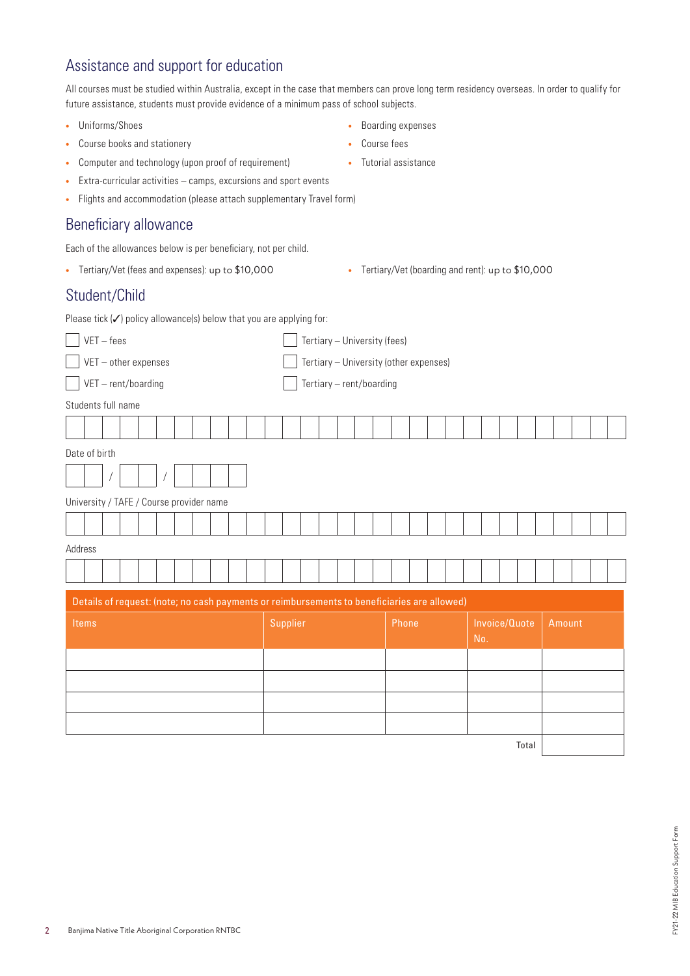## Assistance and support for education

All courses must be studied within Australia, except in the case that members can prove long term residency overseas. In order to qualify for future assistance, students must provide evidence of a minimum pass of school subjects.

- **•** Uniforms/Shoes
- **•** Course books and stationery
- **•** Computer and technology (upon proof of requirement)
- **•** Extra-curricular activities camps, excursions and sport events
- **•** Flights and accommodation (please attach supplementary Travel form)

#### Beneficiary allowance

Each of the allowances below is per beneficiary, not per child.

- **•** Tertiary/Vet (fees and expenses): up to \$10,000 **•** Tertiary/Vet (boarding and rent): up to \$10,000
- 

### Student/Child

Please tick  $(\checkmark)$  policy allowance(s) below that you are applying for:

| $VET - fees$                                                                                | Tertiary - University (fees)           |       |                      |               |  |  |  |  |  |  |  |
|---------------------------------------------------------------------------------------------|----------------------------------------|-------|----------------------|---------------|--|--|--|--|--|--|--|
| VET - other expenses                                                                        | Tertiary - University (other expenses) |       |                      |               |  |  |  |  |  |  |  |
| VET-rent/boarding                                                                           | Tertiary - rent/boarding               |       |                      |               |  |  |  |  |  |  |  |
| Students full name                                                                          |                                        |       |                      |               |  |  |  |  |  |  |  |
|                                                                                             |                                        |       |                      |               |  |  |  |  |  |  |  |
| Date of birth                                                                               |                                        |       |                      |               |  |  |  |  |  |  |  |
|                                                                                             |                                        |       |                      |               |  |  |  |  |  |  |  |
| University / TAFE / Course provider name                                                    |                                        |       |                      |               |  |  |  |  |  |  |  |
|                                                                                             |                                        |       |                      |               |  |  |  |  |  |  |  |
| Address                                                                                     |                                        |       |                      |               |  |  |  |  |  |  |  |
|                                                                                             |                                        |       |                      |               |  |  |  |  |  |  |  |
| Details of request: (note; no cash payments or reimbursements to beneficiaries are allowed) |                                        |       |                      |               |  |  |  |  |  |  |  |
| Items                                                                                       | Supplier                               | Phone | Invoice/Quote<br>No. | <b>Amount</b> |  |  |  |  |  |  |  |
|                                                                                             |                                        |       |                      |               |  |  |  |  |  |  |  |
|                                                                                             |                                        |       |                      |               |  |  |  |  |  |  |  |
|                                                                                             |                                        |       |                      |               |  |  |  |  |  |  |  |
|                                                                                             |                                        |       |                      |               |  |  |  |  |  |  |  |
|                                                                                             |                                        |       | Total                |               |  |  |  |  |  |  |  |



**•** Boarding expenses

- **•** Course fees
- **•** Tutorial assistance